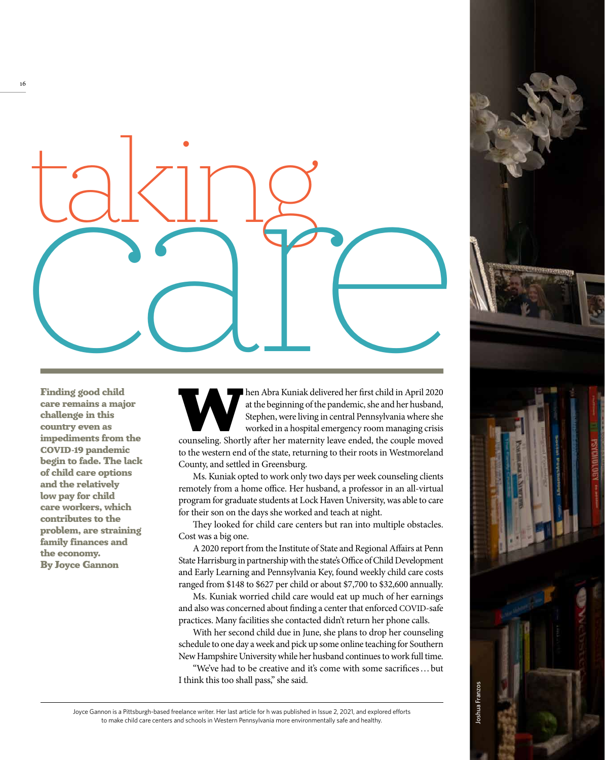

Finding good child care remains a major challenge in this country even as impediments from the COVID-19 pandemic begin to fade. The lack of child care options and the relatively low pay for child care workers, which contributes to the problem, are straining family finances and the economy. By Joyce Gannon

hen Abra Kuniak delivered her first child in April 2020 at the beginning of the pandemic, she and her husband, Stephen, were living in central Pennsylvania where she worked in a hospital emergency room managing crisis coun at the beginning of the pandemic, she and her husband, Stephen, were living in central Pennsylvania where she worked in a hospital emergency room managing crisis to the western end of the state, returning to their roots in Westmoreland County, and settled in Greensburg.

Ms. Kuniak opted to work only two days per week counseling clients remotely from a home office. Her husband, a professor in an all-virtual program for graduate students at Lock Haven University, was able to care for their son on the days she worked and teach at night.

They looked for child care centers but ran into multiple obstacles. Cost was a big one.

A 2020 report from the Institute of State and Regional Affairs at Penn State Harrisburg in partnership with the state's Office of Child Development and Early Learning and Pennsylvania Key, found weekly child care costs ranged from \$148 to \$627 per child or about \$7,700 to \$32,600 annually.

Ms. Kuniak worried child care would eat up much of her earnings and also was concerned about finding a center that enforced COVID-safe practices. Many facilities she contacted didn't return her phone calls.

With her second child due in June, she plans to drop her counseling schedule to one day a week and pick up some online teaching for Southern New Hampshire University while her husband continues to work full time.

"We've had to be creative and it's come with some sacrifices … but I think this too shall pass," she said.

loshua Franzos Joshua Franzos

Joyce Gannon is a Pittsburgh-based freelance writer. Her last article for h was published in Issue 2, 2021, and explored efforts to make child care centers and schools in Western Pennsylvania more environmentally safe and healthy.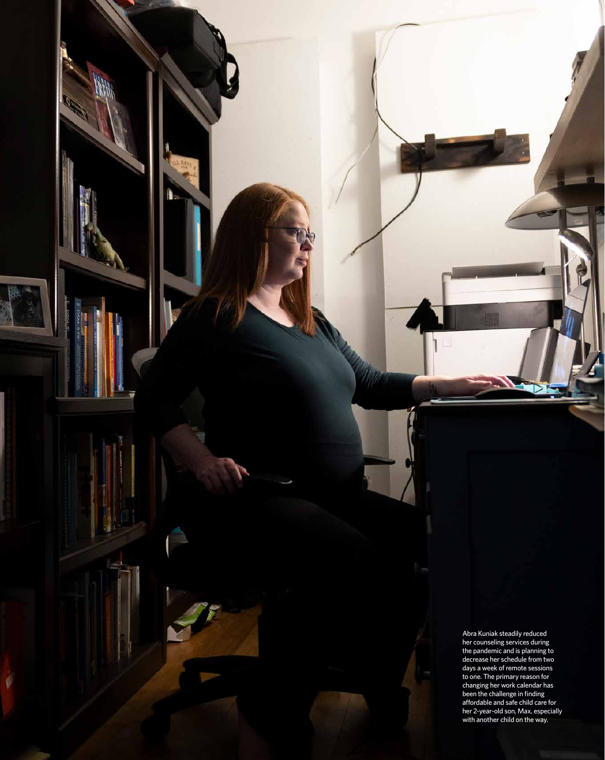Abra Kuniak steadily reduced her counseling services during the pandemic and is planning to decrease her schedule from two days a week of remote sessions to one. The primary reason for changing her work calendar has been the challenge in finding affordable and safe child care for her 2-year-old son, Max, especially with another child on the way.

S.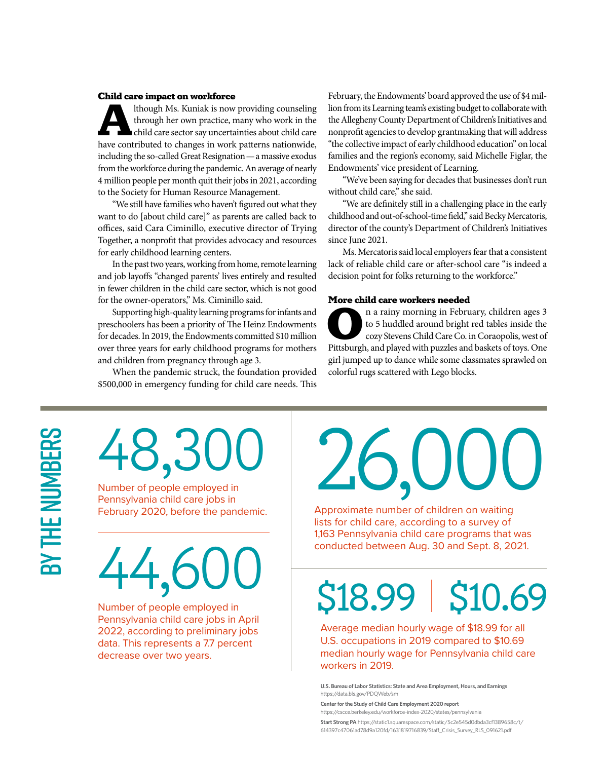#### Child care impact on workforce

Ithough Ms. Kuniak is now providing counseling<br>through her own practice, many who work in the<br>child care sector say uncertainties about child care<br>have contributed to changes in work patterns nationwide. through her own practice, many who work in the child care sector say uncertainties about child care have contributed to changes in work patterns nationwide, including the so-called Great Resignation — a massive exodus from the workforce during the pandemic. An average of nearly 4 million people per month quit their jobs in 2021, according to the Society for Human Resource Management.

"We still have families who haven't figured out what they want to do [about child care]" as parents are called back to offices, said Cara Ciminillo, executive director of Trying Together, a nonprofit that provides advocacy and resources for early childhood learning centers.

In the past two years, working from home, remote learning and job layoffs "changed parents' lives entirely and resulted in fewer children in the child care sector, which is not good for the owner-operators," Ms. Ciminillo said.

Supporting high-quality learning programs for infants and preschoolers has been a priority of The Heinz Endowments for decades. In 2019, the Endowments committed \$10 million over three years for early childhood programs for mothers and children from pregnancy through age 3.

When the pandemic struck, the foundation provided \$500,000 in emergency funding for child care needs. This

February, the Endowments' board approved the use of \$4 million from its Learning team's existing budget to collaborate with the Allegheny County Department of Children's Initiatives and nonprofit agencies to develop grantmaking that will address "the collective impact of early childhood education" on local families and the region's economy, said Michelle Figlar, the Endowments' vice president of Learning.

"We've been saying for decades that businesses don't run without child care," she said.

"We are definitely still in a challenging place in the early childhood and out-of-school-time field," said Becky Mercatoris, director of the county's Department of Children's Initiatives since June 2021.

Ms. Mercatoris said local employers fear that a consistent lack of reliable child care or after-school care "is indeed a decision point for folks returning to the workforce."

### More child care workers needed

n a rainy morning in February, children ages 3<br>to 5 huddled around bright red tables inside the<br>cozy Stevens Child Care Co. in Coraopolis, west of<br>Pittsburgh, and played with puzzles and baskets of toys. One to 5 huddled around bright red tables inside the cozy Stevens Child Care Co. in Coraopolis, west of Pittsburgh, and played with puzzles and baskets of toys. One girl jumped up to dance while some classmates sprawled on colorful rugs scattered with Lego blocks.

# BY THE NUMBERS By the numbers

# 48,30

Number of people employed in Pennsylvania child care jobs in February 2020, before the pandemic.

## 44,6

Number of people employed in Pennsylvania child care jobs in April 2022, according to preliminary jobs data. This represents a 7.7 percent decrease over two years.

# 26,000

Approximate number of children on waiting lists for child care, according to a survey of 1,163 Pennsylvania child care programs that was conducted between Aug. 30 and Sept. 8, 2021.

### \$18.99

### \$10.69

Average median hourly wage of \$18.99 for all U.S. occupations in 2019 compared to \$10.69 median hourly wage for Pennsylvania child care workers in 2019.

**U.S. Bureau of Labor Statistics: State and Area Employment, Hours, and Earnings** https://data.bls.gov/PDQWeb/sm

**Center for the Study of Child Care Employment 2020 report** https://cscce.berkeley.edu/workforce-index-2020/states/pennsylvania

**Start Strong PA** https://static1.squarespace.com/static/5c2e545d0dbda3cf1389658c/t/ 614397c47061ad78d9a120fd/1631819716839/Staff\_Crisis\_Survey\_RLS\_091621.pdf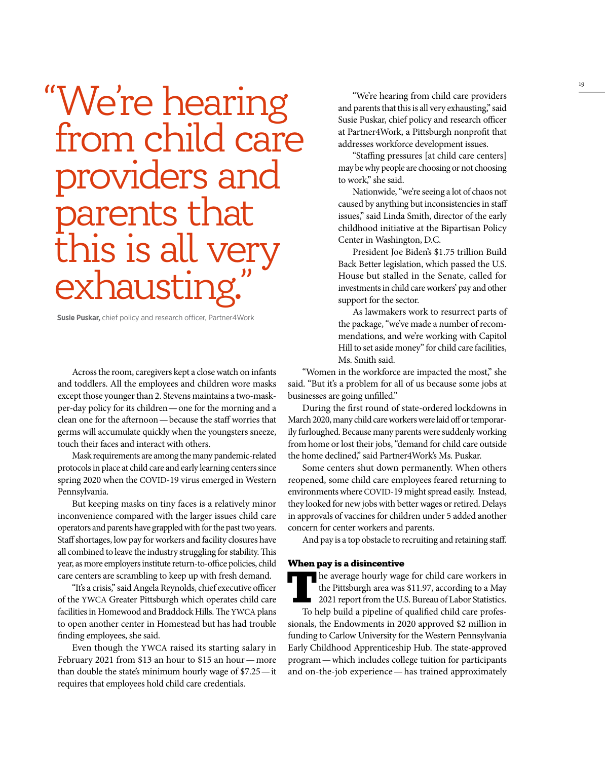### "We're hearing from child care providers and parents that this is all very exhausting

**Susie Puskar,** chief policy and research officer, Partner4Work

Across the room, caregivers kept a close watch on infants and toddlers. All the employees and children wore masks except those younger than 2. Stevens maintains a two-maskper-day policy for its children — one for the morning and a clean one for the afternoon — because the staff worries that germs will accumulate quickly when the youngsters sneeze, touch their faces and interact with others.

Mask requirements are among the many pandemic-related protocols in place at child care and early learning centers since spring 2020 when the COVID-19 virus emerged in Western Pennsylvania.

But keeping masks on tiny faces is a relatively minor inconvenience compared with the larger issues child care operators and parents have grappled with for the past two years. Staff shortages, low pay for workers and facility closures have all combined to leave the industry struggling for stability. This year, as more employers institute return-to-office policies, child care centers are scrambling to keep up with fresh demand.

"It's a crisis," said Angela Reynolds, chief executive officer of the YWCA Greater Pittsburgh which operates child care facilities in Homewood and Braddock Hills. The YWCA plans to open another center in Homestead but has had trouble finding employees, she said.

Even though the YWCA raised its starting salary in February 2021 from \$13 an hour to \$15 an hour — more than double the state's minimum hourly wage of \$7.25 — it requires that employees hold child care credentials.

"We're hearing from child care providers and parents that this is all very exhausting," said Susie Puskar, chief policy and research officer at Partner4Work, a Pittsburgh nonprofit that addresses workforce development issues.

"Staffing pressures [at child care centers] may be why people are choosing or not choosing to work," she said.

Nationwide, "we're seeing a lot of chaos not caused by anything but inconsistencies in staff issues," said Linda Smith, director of the early childhood initiative at the Bipartisan Policy Center in Washington, D.C.

President Joe Biden's \$1.75 trillion Build Back Better legislation, which passed the U.S. House but stalled in the Senate, called for investments in child care workers' pay and other support for the sector.

As lawmakers work to resurrect parts of the package, "we've made a number of recommendations, and we're working with Capitol Hill to set aside money" for child care facilities, Ms. Smith said.

"Women in the workforce are impacted the most," she said. "But it's a problem for all of us because some jobs at businesses are going unfilled."

During the first round of state-ordered lockdowns in March 2020, many child care workers were laid off or temporarily furloughed. Because many parents were suddenly working from home or lost their jobs, "demand for child care outside the home declined," said Partner4Work's Ms. Puskar.

Some centers shut down permanently. When others reopened, some child care employees feared returning to environments where COVID-19 might spread easily. Instead, they looked for new jobs with better wages or retired. Delays in approvals of vaccines for children under 5 added another concern for center workers and parents.

And pay is a top obstacle to recruiting and retaining staff.

#### When pay is a disincentive

The average hourly wage for child care workers in the Pittsburgh area was \$11.97, according to a May 2021 report from the U.S. Bureau of Labor Statistics. To help build a pipeline of qualified child care professionals, the Endowments in 2020 approved \$2 million in funding to Carlow University for the Western Pennsylvania Early Childhood Apprenticeship Hub. The state-approved program — which includes college tuition for participants and on-the-job experience — has trained approximately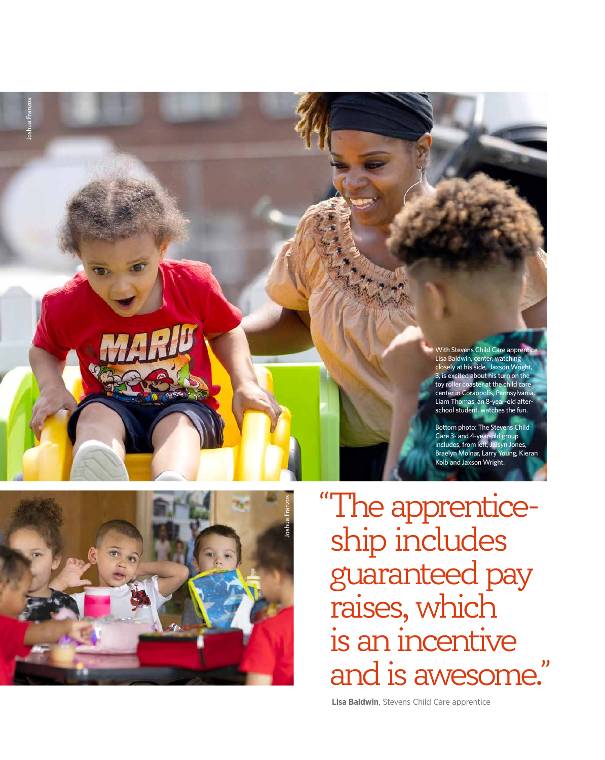



"The apprenticeship includes guaranteed pay raises, which is an incentive and is awesome."

 **Lisa Baldwin** , Stevens Child Care apprentice